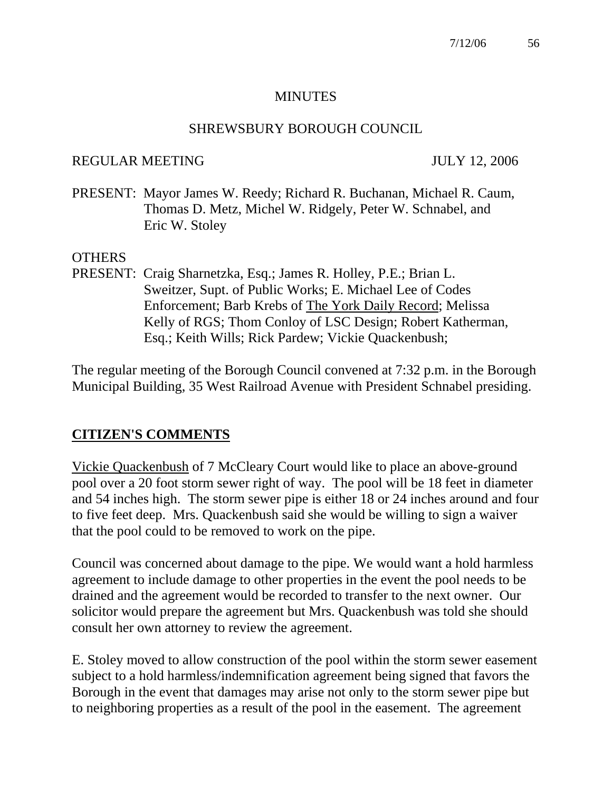### **MINUTES**

### SHREWSBURY BOROUGH COUNCIL

## REGULAR MEETING JULY 12, 2006

PRESENT: Mayor James W. Reedy; Richard R. Buchanan, Michael R. Caum, Thomas D. Metz, Michel W. Ridgely, Peter W. Schnabel, and Eric W. Stoley

## **OTHERS**

PRESENT: Craig Sharnetzka, Esq.; James R. Holley, P.E.; Brian L. Sweitzer, Supt. of Public Works; E. Michael Lee of Codes Enforcement; Barb Krebs of The York Daily Record; Melissa Kelly of RGS; Thom Conloy of LSC Design; Robert Katherman, Esq.; Keith Wills; Rick Pardew; Vickie Quackenbush;

The regular meeting of the Borough Council convened at 7:32 p.m. in the Borough Municipal Building, 35 West Railroad Avenue with President Schnabel presiding.

# **CITIZEN'S COMMENTS**

Vickie Quackenbush of 7 McCleary Court would like to place an above-ground pool over a 20 foot storm sewer right of way. The pool will be 18 feet in diameter and 54 inches high. The storm sewer pipe is either 18 or 24 inches around and four to five feet deep. Mrs. Quackenbush said she would be willing to sign a waiver that the pool could to be removed to work on the pipe.

Council was concerned about damage to the pipe. We would want a hold harmless agreement to include damage to other properties in the event the pool needs to be drained and the agreement would be recorded to transfer to the next owner. Our solicitor would prepare the agreement but Mrs. Quackenbush was told she should consult her own attorney to review the agreement.

E. Stoley moved to allow construction of the pool within the storm sewer easement subject to a hold harmless/indemnification agreement being signed that favors the Borough in the event that damages may arise not only to the storm sewer pipe but to neighboring properties as a result of the pool in the easement. The agreement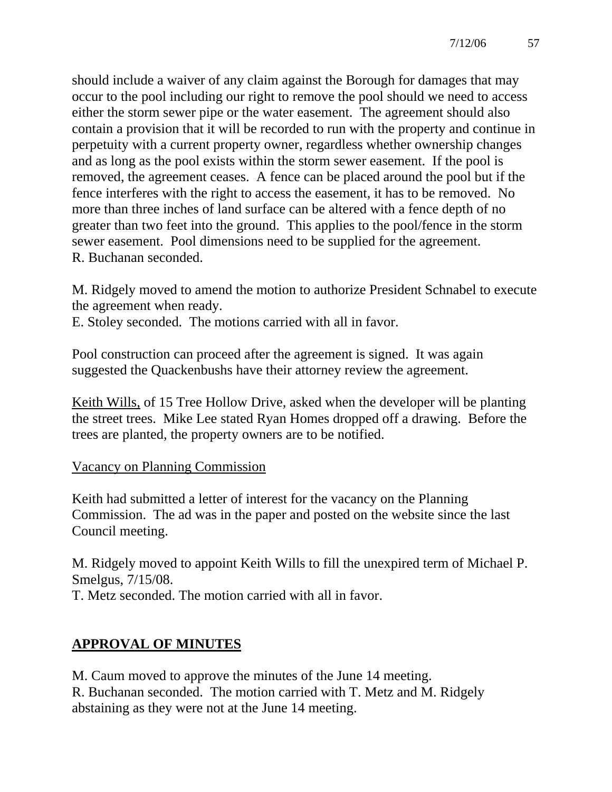should include a waiver of any claim against the Borough for damages that may occur to the pool including our right to remove the pool should we need to access either the storm sewer pipe or the water easement. The agreement should also contain a provision that it will be recorded to run with the property and continue in perpetuity with a current property owner, regardless whether ownership changes and as long as the pool exists within the storm sewer easement. If the pool is removed, the agreement ceases. A fence can be placed around the pool but if the fence interferes with the right to access the easement, it has to be removed. No more than three inches of land surface can be altered with a fence depth of no greater than two feet into the ground. This applies to the pool/fence in the storm sewer easement. Pool dimensions need to be supplied for the agreement. R. Buchanan seconded.

M. Ridgely moved to amend the motion to authorize President Schnabel to execute the agreement when ready.

E. Stoley seconded. The motions carried with all in favor.

Pool construction can proceed after the agreement is signed. It was again suggested the Quackenbushs have their attorney review the agreement.

Keith Wills, of 15 Tree Hollow Drive, asked when the developer will be planting the street trees. Mike Lee stated Ryan Homes dropped off a drawing. Before the trees are planted, the property owners are to be notified.

### Vacancy on Planning Commission

Keith had submitted a letter of interest for the vacancy on the Planning Commission. The ad was in the paper and posted on the website since the last Council meeting.

M. Ridgely moved to appoint Keith Wills to fill the unexpired term of Michael P. Smelgus, 7/15/08.

T. Metz seconded. The motion carried with all in favor.

# **APPROVAL OF MINUTES**

M. Caum moved to approve the minutes of the June 14 meeting. R. Buchanan seconded. The motion carried with T. Metz and M. Ridgely abstaining as they were not at the June 14 meeting.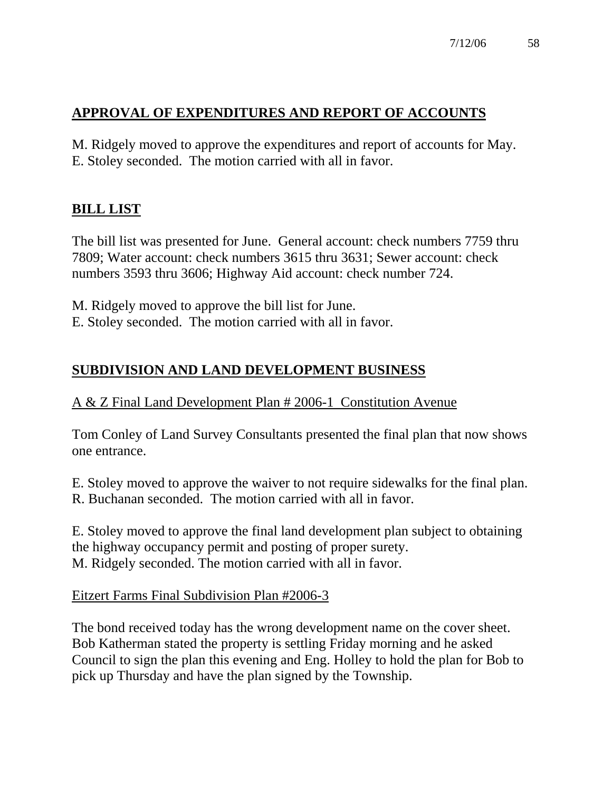# **APPROVAL OF EXPENDITURES AND REPORT OF ACCOUNTS**

M. Ridgely moved to approve the expenditures and report of accounts for May. E. Stoley seconded. The motion carried with all in favor.

# **BILL LIST**

The bill list was presented for June. General account: check numbers 7759 thru 7809; Water account: check numbers 3615 thru 3631; Sewer account: check numbers 3593 thru 3606; Highway Aid account: check number 724.

M. Ridgely moved to approve the bill list for June.

E. Stoley seconded. The motion carried with all in favor.

# **SUBDIVISION AND LAND DEVELOPMENT BUSINESS**

## A & Z Final Land Development Plan # 2006-1 Constitution Avenue

Tom Conley of Land Survey Consultants presented the final plan that now shows one entrance.

E. Stoley moved to approve the waiver to not require sidewalks for the final plan. R. Buchanan seconded. The motion carried with all in favor.

E. Stoley moved to approve the final land development plan subject to obtaining the highway occupancy permit and posting of proper surety. M. Ridgely seconded. The motion carried with all in favor.

### Eitzert Farms Final Subdivision Plan #2006-3

The bond received today has the wrong development name on the cover sheet. Bob Katherman stated the property is settling Friday morning and he asked Council to sign the plan this evening and Eng. Holley to hold the plan for Bob to pick up Thursday and have the plan signed by the Township.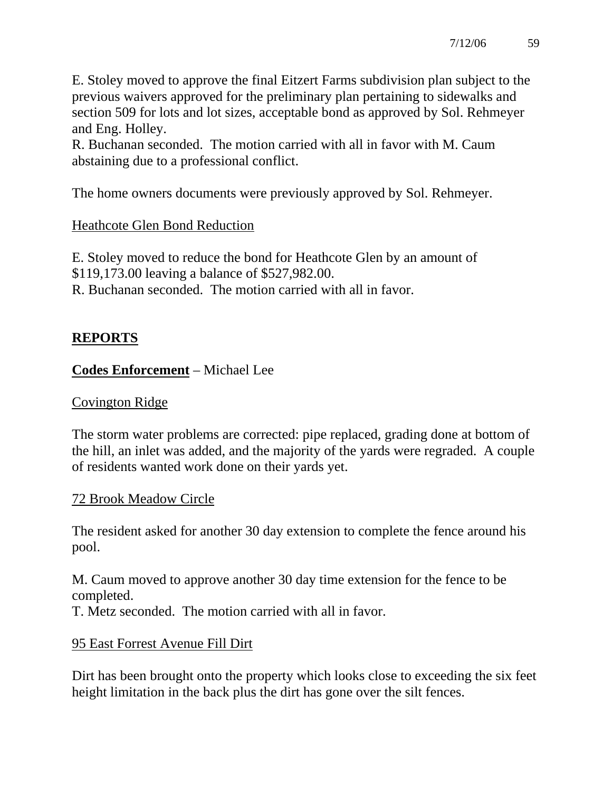E. Stoley moved to approve the final Eitzert Farms subdivision plan subject to the previous waivers approved for the preliminary plan pertaining to sidewalks and section 509 for lots and lot sizes, acceptable bond as approved by Sol. Rehmeyer and Eng. Holley.

R. Buchanan seconded. The motion carried with all in favor with M. Caum abstaining due to a professional conflict.

The home owners documents were previously approved by Sol. Rehmeyer.

# Heathcote Glen Bond Reduction

E. Stoley moved to reduce the bond for Heathcote Glen by an amount of \$119,173.00 leaving a balance of \$527,982.00. R. Buchanan seconded. The motion carried with all in favor.

# **REPORTS**

# **Codes Enforcement** – Michael Lee

### Covington Ridge

The storm water problems are corrected: pipe replaced, grading done at bottom of the hill, an inlet was added, and the majority of the yards were regraded. A couple of residents wanted work done on their yards yet.

### 72 Brook Meadow Circle

The resident asked for another 30 day extension to complete the fence around his pool.

M. Caum moved to approve another 30 day time extension for the fence to be completed.

T. Metz seconded. The motion carried with all in favor.

# 95 East Forrest Avenue Fill Dirt

Dirt has been brought onto the property which looks close to exceeding the six feet height limitation in the back plus the dirt has gone over the silt fences.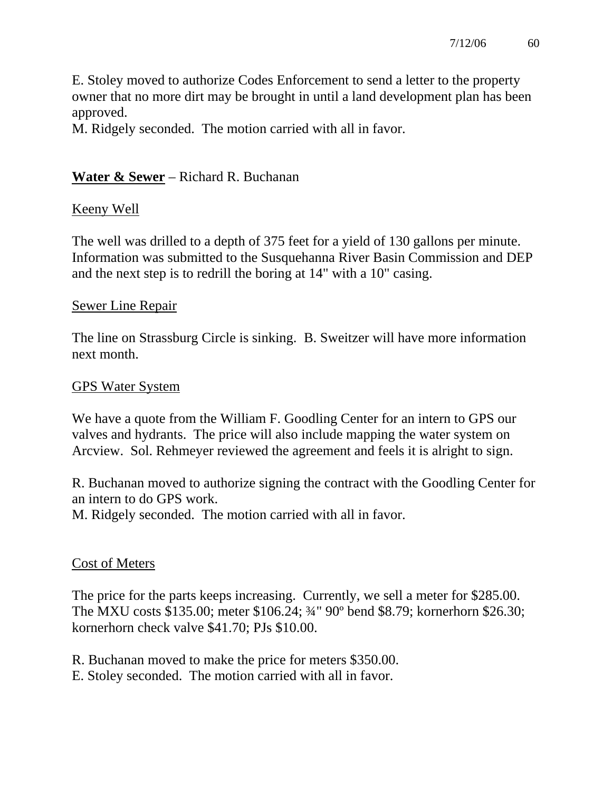E. Stoley moved to authorize Codes Enforcement to send a letter to the property owner that no more dirt may be brought in until a land development plan has been approved.

M. Ridgely seconded. The motion carried with all in favor.

# **Water & Sewer** – Richard R. Buchanan

## Keeny Well

The well was drilled to a depth of 375 feet for a yield of 130 gallons per minute. Information was submitted to the Susquehanna River Basin Commission and DEP and the next step is to redrill the boring at 14" with a 10" casing.

### Sewer Line Repair

The line on Strassburg Circle is sinking. B. Sweitzer will have more information next month.

## GPS Water System

We have a quote from the William F. Goodling Center for an intern to GPS our valves and hydrants. The price will also include mapping the water system on Arcview. Sol. Rehmeyer reviewed the agreement and feels it is alright to sign.

R. Buchanan moved to authorize signing the contract with the Goodling Center for an intern to do GPS work.

M. Ridgely seconded. The motion carried with all in favor.

# Cost of Meters

The price for the parts keeps increasing. Currently, we sell a meter for \$285.00. The MXU costs \$135.00; meter \$106.24; ¾" 90º bend \$8.79; kornerhorn \$26.30; kornerhorn check valve \$41.70; PJs \$10.00.

R. Buchanan moved to make the price for meters \$350.00.

E. Stoley seconded. The motion carried with all in favor.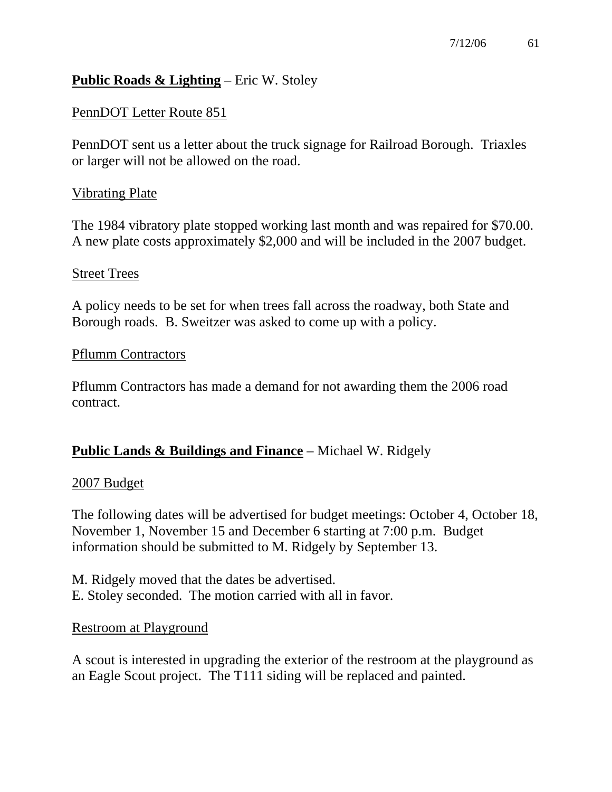# **Public Roads & Lighting** – Eric W. Stoley

## PennDOT Letter Route 851

PennDOT sent us a letter about the truck signage for Railroad Borough. Triaxles or larger will not be allowed on the road.

### Vibrating Plate

The 1984 vibratory plate stopped working last month and was repaired for \$70.00. A new plate costs approximately \$2,000 and will be included in the 2007 budget.

#### **Street Trees**

A policy needs to be set for when trees fall across the roadway, both State and Borough roads. B. Sweitzer was asked to come up with a policy.

#### Pflumm Contractors

Pflumm Contractors has made a demand for not awarding them the 2006 road contract.

# **Public Lands & Buildings and Finance** – Michael W. Ridgely

### 2007 Budget

The following dates will be advertised for budget meetings: October 4, October 18, November 1, November 15 and December 6 starting at 7:00 p.m. Budget information should be submitted to M. Ridgely by September 13.

M. Ridgely moved that the dates be advertised. E. Stoley seconded. The motion carried with all in favor.

### Restroom at Playground

A scout is interested in upgrading the exterior of the restroom at the playground as an Eagle Scout project. The T111 siding will be replaced and painted.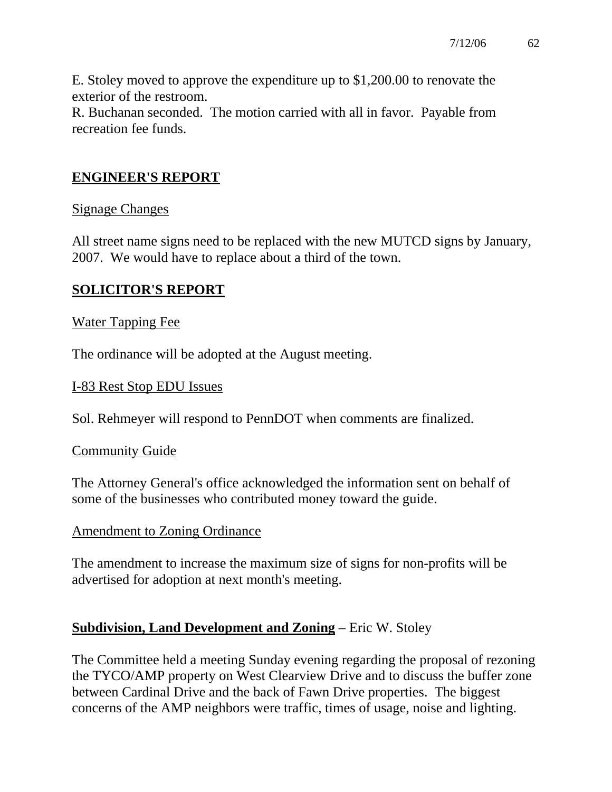E. Stoley moved to approve the expenditure up to \$1,200.00 to renovate the exterior of the restroom.

R. Buchanan seconded. The motion carried with all in favor. Payable from recreation fee funds.

# **ENGINEER'S REPORT**

## Signage Changes

All street name signs need to be replaced with the new MUTCD signs by January, 2007. We would have to replace about a third of the town.

# **SOLICITOR'S REPORT**

## Water Tapping Fee

The ordinance will be adopted at the August meeting.

## I-83 Rest Stop EDU Issues

Sol. Rehmeyer will respond to PennDOT when comments are finalized.

### Community Guide

The Attorney General's office acknowledged the information sent on behalf of some of the businesses who contributed money toward the guide.

### Amendment to Zoning Ordinance

The amendment to increase the maximum size of signs for non-profits will be advertised for adoption at next month's meeting.

# **Subdivision, Land Development and Zoning** – Eric W. Stoley

The Committee held a meeting Sunday evening regarding the proposal of rezoning the TYCO/AMP property on West Clearview Drive and to discuss the buffer zone between Cardinal Drive and the back of Fawn Drive properties. The biggest concerns of the AMP neighbors were traffic, times of usage, noise and lighting.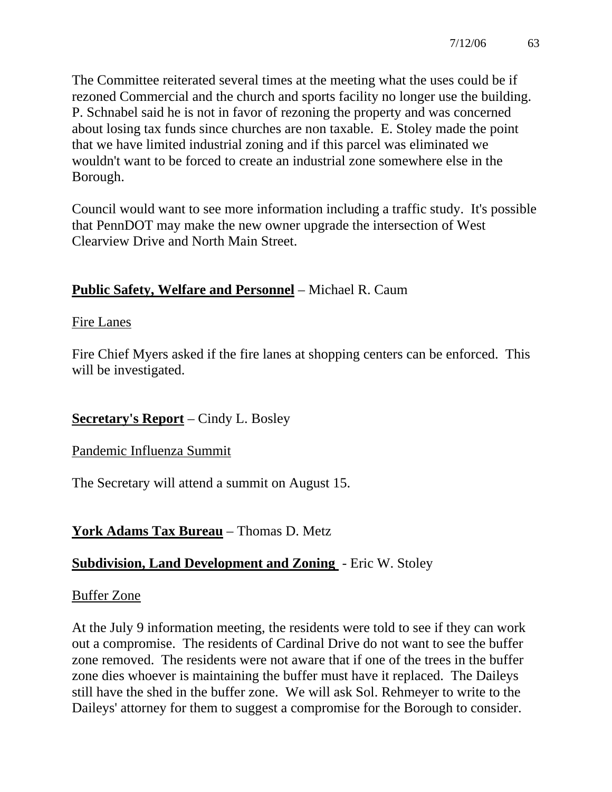The Committee reiterated several times at the meeting what the uses could be if rezoned Commercial and the church and sports facility no longer use the building. P. Schnabel said he is not in favor of rezoning the property and was concerned about losing tax funds since churches are non taxable. E. Stoley made the point that we have limited industrial zoning and if this parcel was eliminated we wouldn't want to be forced to create an industrial zone somewhere else in the Borough.

Council would want to see more information including a traffic study. It's possible that PennDOT may make the new owner upgrade the intersection of West Clearview Drive and North Main Street.

# **Public Safety, Welfare and Personnel** – Michael R. Caum

## Fire Lanes

Fire Chief Myers asked if the fire lanes at shopping centers can be enforced. This will be investigated.

# **Secretary's Report** – Cindy L. Bosley

# Pandemic Influenza Summit

The Secretary will attend a summit on August 15.

# **York Adams Tax Bureau** – Thomas D. Metz

# **Subdivision, Land Development and Zoning** - Eric W. Stoley

### Buffer Zone

At the July 9 information meeting, the residents were told to see if they can work out a compromise. The residents of Cardinal Drive do not want to see the buffer zone removed. The residents were not aware that if one of the trees in the buffer zone dies whoever is maintaining the buffer must have it replaced. The Daileys still have the shed in the buffer zone. We will ask Sol. Rehmeyer to write to the Daileys' attorney for them to suggest a compromise for the Borough to consider.